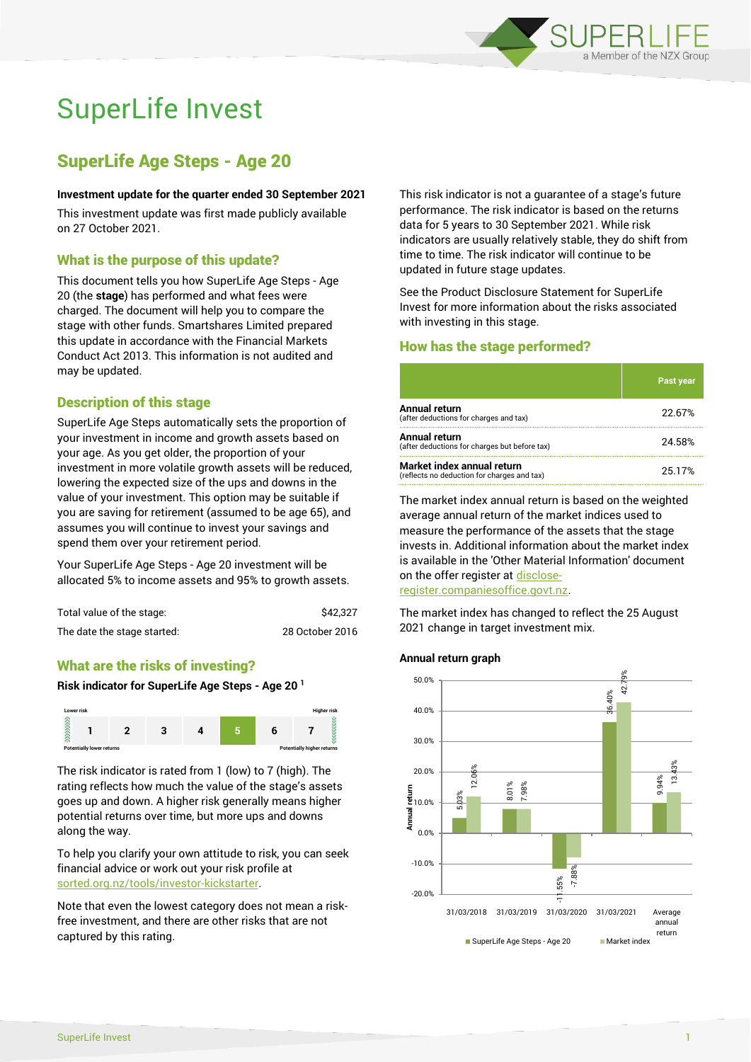

# SuperLife Invest

# SuperLife Age Steps - Age 20

#### **Investment update for the quarter ended 30 September 2021**

This investment update was first made publicly available on 27 October 2021.

# What is the purpose of this update?

This document tells you how SuperLife Age Steps - Age 20 (the **stage**) has performed and what fees were charged. The document will help you to compare the stage with other funds. Smartshares Limited prepared this update in accordance with the Financial Markets Conduct Act 2013. This information is not audited and may be updated.

# Description of this stage

SuperLife Age Steps automatically sets the proportion of your investment in income and growth assets based on your age. As you get older, the proportion of your investment in more volatile growth assets will be reduced, lowering the expected size of the ups and downs in the value of your investment. This option may be suitable if you are saving for retirement (assumed to be age 65), and assumes you will continue to invest your savings and spend them over your retirement period.

Your SuperLife Age Steps - Age 20 investment will be allocated 5% to income assets and 95% to growth assets.

| Total value of the stage:   | \$42.327        |
|-----------------------------|-----------------|
| The date the stage started: | 28 October 2016 |

# What are the risks of investing?

#### **Risk indicator for SuperLife Age Steps - Age 20 <sup>1</sup>**



The risk indicator is rated from 1 (low) to 7 (high). The rating reflects how much the value of the stage's assets goes up and down. A higher risk generally means higher potential returns over time, but more ups and downs along the way.

To help you clarify your own attitude to risk, you can seek financial advice or work out your risk profile at [sorted.org.nz/tools/investor-kickstarter.](http://www.sorted.org.nz/tools/investor-kickstarter)

Note that even the lowest category does not mean a riskfree investment, and there are other risks that are not captured by this rating.

This risk indicator is not a guarantee of a stage's future performance. The risk indicator is based on the returns data for 5 years to 30 September 2021. While risk indicators are usually relatively stable, they do shift from time to time. The risk indicator will continue to be updated in future stage updates.

See the Product Disclosure Statement for SuperLife Invest for more information about the risks associated with investing in this stage.

## How has the stage performed?

|                                                                           | Past year |
|---------------------------------------------------------------------------|-----------|
| Annual return<br>(after deductions for charges and tax)                   | 22.67%    |
| Annual return<br>(after deductions for charges but before tax)            | 24.58%    |
| Market index annual return<br>(reflects no deduction for charges and tax) | 25.17%    |

The market index annual return is based on the weighted average annual return of the market indices used to measure the performance of the assets that the stage invests in. Additional information about the market index is available in the 'Other Material Information' document on the offer register a[t disclose-](http://www.disclose-register.companiesoffice.govt.nz/)

[register.companiesoffice.govt.nz.](http://www.disclose-register.companiesoffice.govt.nz/)

The market index has changed to reflect the 25 August 2021 change in target investment mix.

#### **Annual return graph**

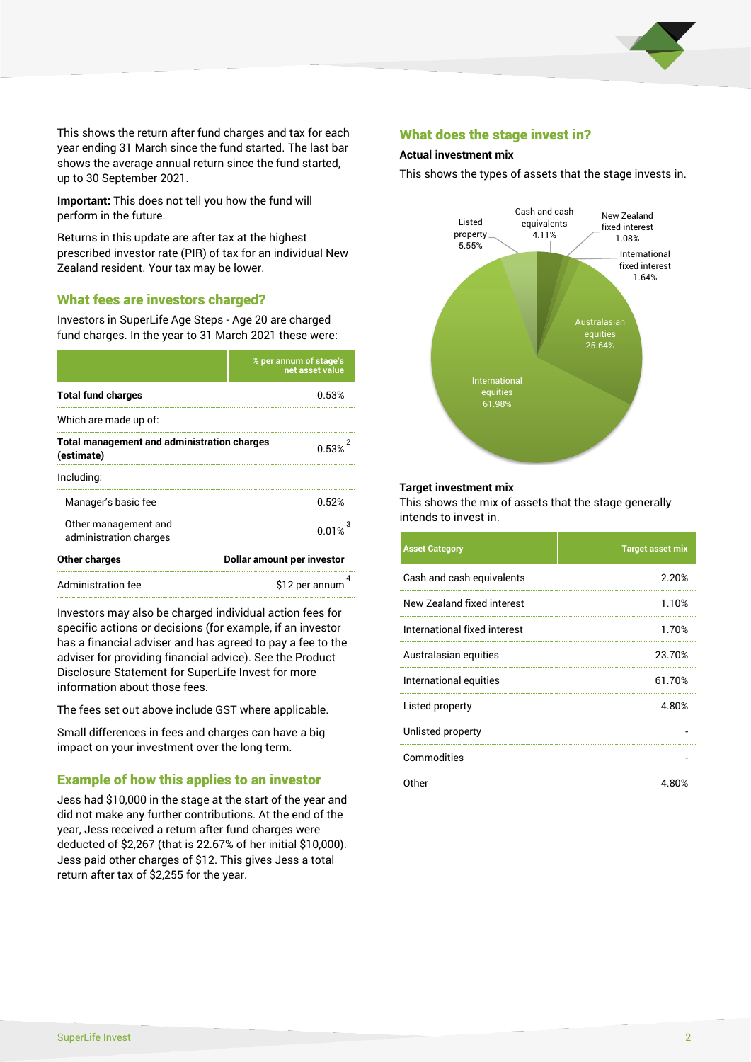

This shows the return after fund charges and tax for each year ending 31 March since the fund started. The last bar shows the average annual return since the fund started, up to 30 September 2021.

**Important:** This does not tell you how the fund will perform in the future.

Returns in this update are after tax at the highest prescribed investor rate (PIR) of tax for an individual New Zealand resident. Your tax may be lower.

# What fees are investors charged?

Investors in SuperLife Age Steps - Age 20 are charged fund charges. In the year to 31 March 2021 these were:

|                                                                  | % per annum of stage's<br>net asset value |  |
|------------------------------------------------------------------|-------------------------------------------|--|
| <b>Total fund charges</b>                                        | 0.53%                                     |  |
| Which are made up of:                                            |                                           |  |
| <b>Total management and administration charges</b><br>(estimate) | በ 53%                                     |  |
| Including:                                                       |                                           |  |
| Manager's basic fee                                              | 0.52%                                     |  |
| Other management and<br>administration charges                   | 0.01%                                     |  |
| Other charges                                                    | Dollar amount per investor                |  |
| Administration fee                                               | \$12 per annum                            |  |

Investors may also be charged individual action fees for specific actions or decisions (for example, if an investor has a financial adviser and has agreed to pay a fee to the adviser for providing financial advice). See the Product Disclosure Statement for SuperLife Invest for more information about those fees.

The fees set out above include GST where applicable.

Small differences in fees and charges can have a big impact on your investment over the long term.

# Example of how this applies to an investor

Jess had \$10,000 in the stage at the start of the year and did not make any further contributions. At the end of the year, Jess received a return after fund charges were deducted of \$2,267 (that is 22.67% of her initial \$10,000). Jess paid other charges of \$12. This gives Jess a total return after tax of \$2,255 for the year.

## What does the stage invest in?

#### **Actual investment mix**

This shows the types of assets that the stage invests in.



#### **Target investment mix**

This shows the mix of assets that the stage generally intends to invest in.

| <b>Asset Category</b>        | <b>Target asset mix</b> |
|------------------------------|-------------------------|
| Cash and cash equivalents    | 2.20%                   |
| New Zealand fixed interest   | 1.10%                   |
| International fixed interest | 1.70%                   |
| Australasian equities        | 23.70%                  |
| International equities       | 61.70%                  |
| Listed property              | 4.80%                   |
| Unlisted property            |                         |
| Commodities                  |                         |
| Other                        | 4.80%                   |